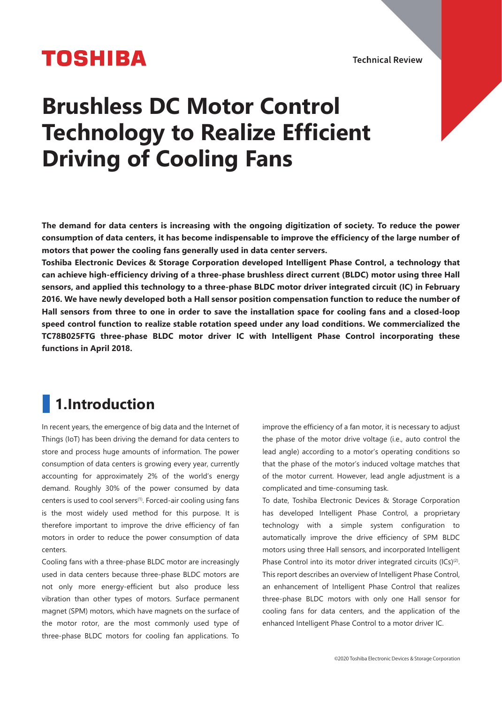# **TOSHIBA**

**Technical Review** 

# **Brushless DC Motor Control Technology to Realize Efficient Driving of Cooling Fans**

**The demand for data centers is increasing with the ongoing digitization of society. To reduce the power consumption of data centers, it has become indispensable to improve the efficiency of the large number of motors that power the cooling fans generally used in data center servers.**

**Toshiba Electronic Devices & Storage Corporation developed Intelligent Phase Control, a technology that can achieve high-efficiency driving of a three-phase brushless direct current (BLDC) motor using three Hall sensors, and applied this technology to a three-phase BLDC motor driver integrated circuit (IC) in February 2016. We have newly developed both a Hall sensor position compensation function to reduce the number of Hall sensors from three to one in order to save the installation space for cooling fans and a closed-loop speed control function to realize stable rotation speed under any load conditions. We commercialized the TC78B025FTG three-phase BLDC motor driver IC with Intelligent Phase Control incorporating these functions in April 2018.**

## **1.Introduction**

In recent years, the emergence of big data and the Internet of Things (IoT) has been driving the demand for data centers to store and process huge amounts of information. The power consumption of data centers is growing every year, currently accounting for approximately 2% of the world's energy demand. Roughly 30% of the power consumed by data centers is used to cool servers<sup>(1)</sup>. Forced-air cooling using fans is the most widely used method for this purpose. It is therefore important to improve the drive efficiency of fan motors in order to reduce the power consumption of data centers.

Cooling fans with a three-phase BLDC motor are increasingly used in data centers because three-phase BLDC motors are not only more energy-efficient but also produce less vibration than other types of motors. Surface permanent magnet (SPM) motors, which have magnets on the surface of the motor rotor, are the most commonly used type of three-phase BLDC motors for cooling fan applications. To

improve the efficiency of a fan motor, it is necessary to adjust the phase of the motor drive voltage (i.e., auto control the lead angle) according to a motor's operating conditions so that the phase of the motor's induced voltage matches that of the motor current. However, lead angle adjustment is a complicated and time-consuming task.

To date, Toshiba Electronic Devices & Storage Corporation has developed Intelligent Phase Control, a proprietary technology with a simple system configuration to automatically improve the drive efficiency of SPM BLDC motors using three Hall sensors, and incorporated Intelligent Phase Control into its motor driver integrated circuits (ICs)<sup>(2)</sup>. This report describes an overview of Intelligent Phase Control, an enhancement of Intelligent Phase Control that realizes three-phase BLDC motors with only one Hall sensor for cooling fans for data centers, and the application of the enhanced Intelligent Phase Control to a motor driver IC.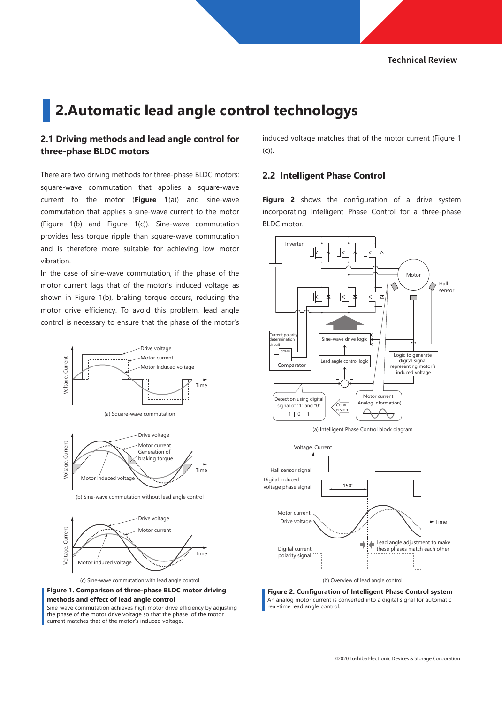## **2.Automatic lead angle control technologys**

#### **2.1 Driving methods and lead angle control for three-phase BLDC motors**

There are two driving methods for three-phase BLDC motors: square-wave commutation that applies a square-wave current to the motor (**Figure 1**(a)) and sine-wave commutation that applies a sine-wave current to the motor (Figure 1(b) and Figure 1(c)). Sine-wave commutation provides less torque ripple than square-wave commutation and is therefore more suitable for achieving low motor vibration.

In the case of sine-wave commutation, if the phase of the motor current lags that of the motor's induced voltage as shown in Figure 1(b), braking torque occurs, reducing the motor drive efficiency. To avoid this problem, lead angle control is necessary to ensure that the phase of the motor's







(b) Sine-wave commutation without lead angle control



(c) Sine-wave commutation with lead angle control



Sine-wave commutation achieves high motor drive efficiency by adjusting the phase of the motor drive voltage so that the phase of the motor current matches that of the motor's induced voltage.

induced voltage matches that of the motor current (Figure 1 (c)).

#### **2.2 Intelligent Phase Control**

**Figure 2** shows the configuration of a drive system incorporating Intelligent Phase Control for a three-phase BLDC motor.







**Figure 2. Configuration of Intelligent Phase Control system** An analog motor current is converted into a digital signal for automatic real-time lead angle control.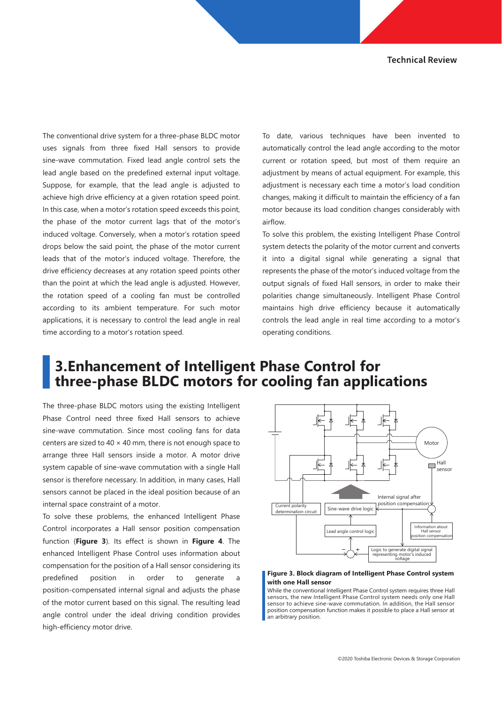The conventional drive system for a three-phase BLDC motor uses signals from three fixed Hall sensors to provide sine-wave commutation. Fixed lead angle control sets the lead angle based on the predefined external input voltage. Suppose, for example, that the lead angle is adjusted to achieve high drive efficiency at a given rotation speed point. In this case, when a motor's rotation speed exceeds this point, the phase of the motor current lags that of the motor's induced voltage. Conversely, when a motor's rotation speed drops below the said point, the phase of the motor current leads that of the motor's induced voltage. Therefore, the drive efficiency decreases at any rotation speed points other than the point at which the lead angle is adjusted. However, the rotation speed of a cooling fan must be controlled according to its ambient temperature. For such motor applications, it is necessary to control the lead angle in real time according to a motor's rotation speed.

To date, various techniques have been invented to automatically control the lead angle according to the motor current or rotation speed, but most of them require an adjustment by means of actual equipment. For example, this adjustment is necessary each time a motor's load condition changes, making it difficult to maintain the efficiency of a fan motor because its load condition changes considerably with airflow.

To solve this problem, the existing Intelligent Phase Control system detects the polarity of the motor current and converts it into a digital signal while generating a signal that represents the phase of the motor's induced voltage from the output signals of fixed Hall sensors, in order to make their polarities change simultaneously. Intelligent Phase Control maintains high drive efficiency because it automatically controls the lead angle in real time according to a motor's operating conditions.

### **3.Enhancement of Intelligent Phase Control for three-phase BLDC motors for cooling fan applications**

The three-phase BLDC motors using the existing Intelligent Phase Control need three fixed Hall sensors to achieve sine-wave commutation. Since most cooling fans for data centers are sized to  $40 \times 40$  mm, there is not enough space to arrange three Hall sensors inside a motor. A motor drive system capable of sine-wave commutation with a single Hall sensor is therefore necessary. In addition, in many cases, Hall sensors cannot be placed in the ideal position because of an internal space constraint of a motor.

To solve these problems, the enhanced Intelligent Phase Control incorporates a Hall sensor position compensation function (**Figure 3**). Its effect is shown in **Figure 4**. The enhanced Intelligent Phase Control uses information about compensation for the position of a Hall sensor considering its predefined position in order to generate a position-compensated internal signal and adjusts the phase of the motor current based on this signal. The resulting lead angle control under the ideal driving condition provides high-efficiency motor drive.



#### **Figure 3. Block diagram of Intelligent Phase Control system with one Hall sensor**

While the conventional Intelligent Phase Control system requires three Hall sensors, the new Intelligent Phase Control system needs only one Hall sensor to achieve sine-wave commutation. In addition, the Hall sensor position compensation function makes it possible to place a Hall sensor at an arbitrary position.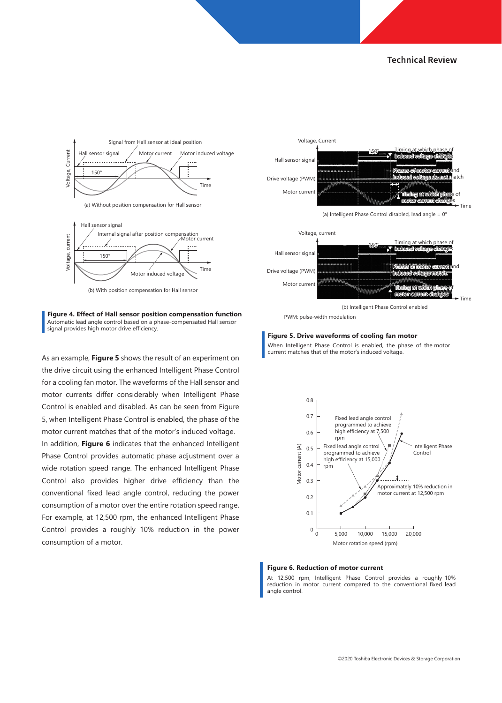



(b) With position compensation for Hall sensor



As an example, **Figure 5** shows the result of an experiment on the drive circuit using the enhanced Intelligent Phase Control for a cooling fan motor. The waveforms of the Hall sensor and motor currents differ considerably when Intelligent Phase Control is enabled and disabled. As can be seen from Figure 5, when Intelligent Phase Control is enabled, the phase of the motor current matches that of the motor's induced voltage. In addition, **Figure 6** indicates that the enhanced Intelligent Phase Control provides automatic phase adjustment over a wide rotation speed range. The enhanced Intelligent Phase Control also provides higher drive efficiency than the conventional fixed lead angle control, reducing the power consumption of a motor over the entire rotation speed range. For example, at 12,500 rpm, the enhanced Intelligent Phase Control provides a roughly 10% reduction in the power consumption of a motor.







(b) Intelligent Phase Control enabled

PWM: pulse-width modulation

#### **Figure 5. Drive waveforms of cooling fan motor**

When Intelligent Phase Control is enabled, the phase of the motor current matches that of the motor's induced voltage.



#### **Figure 6. Reduction of motor current**

At 12,500 rpm, Intelligent Phase Control provides a roughly 10% reduction in motor current compared to the conventional fixed lead angle control.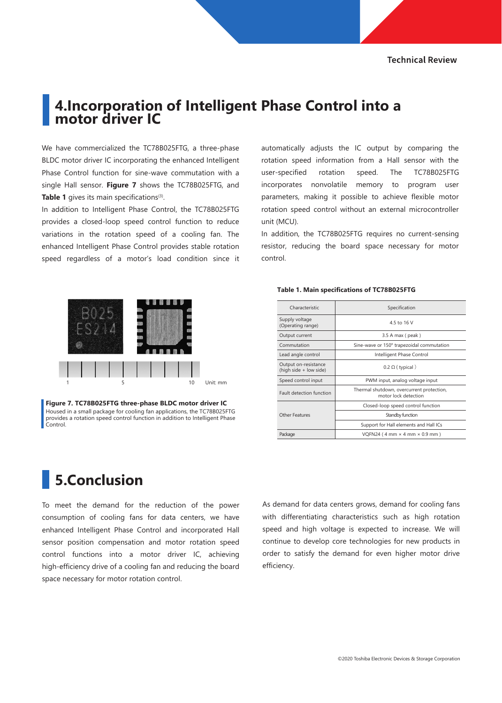### **4.Incorporation of Intelligent Phase Control into a motor driver IC**

We have commercialized the TC78B025FTG, a three-phase BLDC motor driver IC incorporating the enhanced Intelligent Phase Control function for sine-wave commutation with a single Hall sensor. **Figure 7** shows the TC78B025FTG, and Table 1 gives its main specifications<sup>(3)</sup>.

In addition to Intelligent Phase Control, the TC78B025FTG provides a closed-loop speed control function to reduce variations in the rotation speed of a cooling fan. The enhanced Intelligent Phase Control provides stable rotation speed regardless of a motor's load condition since it



**Figure 7. TC78B025FTG three-phase BLDC motor driver IC** Housed in a small package for cooling fan applications, the TC78B025FTG provides a rotation speed control function in addition to Intelligent Phase Control.

## **5.Conclusion**

To meet the demand for the reduction of the power consumption of cooling fans for data centers, we have enhanced Intelligent Phase Control and incorporated Hall sensor position compensation and motor rotation speed control functions into a motor driver IC, achieving high-efficiency drive of a cooling fan and reducing the board space necessary for motor rotation control.

automatically adjusts the IC output by comparing the rotation speed information from a Hall sensor with the user-specified rotation speed. The TC78B025FTG incorporates nonvolatile memory to program user parameters, making it possible to achieve flexible motor rotation speed control without an external microcontroller unit (MCU).

In addition, the TC78B025FTG requires no current-sensing resistor, reducing the board space necessary for motor control.

#### **Table 1. Main specifications of TC78B025FTG**

| Characteristic                                 | Specification                                                     |
|------------------------------------------------|-------------------------------------------------------------------|
| Supply voltage<br>(Operating range)            | 4.5 to 16 V                                                       |
| Output current                                 | 3.5 A max (peak)                                                  |
| Commutation                                    | Sine-wave or 150° trapezoidal commutation                         |
| Lead angle control                             | Intelligent Phase Control                                         |
| Output on-resistance<br>(high side + low side) | $0.2 \Omega$ (typical)                                            |
| Speed control input                            | PWM input, analog voltage input                                   |
| <b>Fault detection function</b>                | Thermal shutdown, overcurrent protection,<br>motor lock detection |
| Other Features                                 | Closed-loop speed control function                                |
|                                                | Standby function                                                  |
|                                                | Support for Hall elements and Hall ICs                            |
| Package                                        | VQFN24 (4 mm $\times$ 4 mm $\times$ 0.9 mm)                       |

As demand for data centers grows, demand for cooling fans with differentiating characteristics such as high rotation speed and high voltage is expected to increase. We will continue to develop core technologies for new products in order to satisfy the demand for even higher motor drive efficiency.